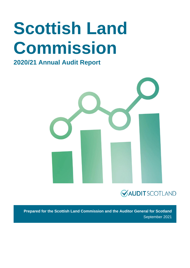# **Scottish Land Commission**

### **2020/21 Annual Audit Report**



### **VAUDITSCOTLAND**

**Prepared for the Scottish Land Commission and the Auditor General for Scotland** September 2021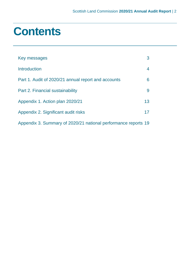## **Contents**

| Key messages                                                   | 3               |
|----------------------------------------------------------------|-----------------|
| Introduction                                                   | 4               |
| Part 1. Audit of 2020/21 annual report and accounts            | 6               |
| Part 2. Financial sustainability                               | 9               |
| Appendix 1. Action plan 2020/21                                | 13 <sup>°</sup> |
| Appendix 2. Significant audit risks                            | 17              |
| Appendix 3. Summary of 2020/21 national performance reports 19 |                 |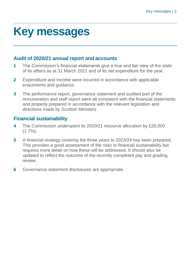# <span id="page-2-0"></span>**Key messages**

### **Audit of 2020/21 annual report and accounts**

- **1** The Commission's financial statements give a true and fair view of the state of its affairs as at 31 March 2021 and of its net expenditure for the year.
- **2** Expenditure and income were incurred in accordance with applicable enactments and guidance.
- **3** The performance report, governance statement and audited part of the remuneration and staff report were all consistent with the financial statements and properly prepared in accordance with the relevant legislation and directions made by Scottish Ministers

### **Financial sustainability**

- **4** The Commission underspent its 2020/21 resource allocation by £26,000  $(1.7\%)$ .
- **5** A financial strategy covering the three years to 2023/24 has been prepared. This provides a good assessment of the risks to financial sustainability but requires more detail on how these will be addressed. It should also be updated to reflect the outcome of the recently completed pay and grading review.
- **6** Governance statement disclosures are appropriate.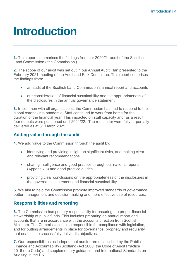## <span id="page-3-0"></span>**Introduction**

**1.** This report summarises the findings from our 2020/21 audit of the Scottish Land Commission ('the Commission').

**2.** The scope of our audit was set out in our Annual Audit Plan presented to the February 2021 meeting of the Audit and Risk Committee. This report comprises the findings from:

- an audit of the Scottish Land Commission's annual report and accounts
- our consideration of financial sustainability and the appropriateness of the disclosures in the annual governance statement.

**3.** In common with all organisations, the Commission has had to respond to the global coronavirus pandemic. Staff continued to work from home for the duration of the financial year. This impacted on staff capacity and, as a result, four outputs were postponed until 2021/22. The remainder were fully or partially delivered as at 31 March 2021.

### **Adding value through the audit**

**4.** We add value to the Commission through the audit by:

- identifying and providing insight on significant risks, and making clear and relevant recommendations
- sharing intelligence and good practice through our national reports [\(Appendix 3\)](#page-18-0) and good practice guides
- providing clear conclusions on the appropriateness of the disclosures in the governance statement and financial sustainability.

**5.** We aim to help the Commission promote improved standards of governance, better management and decision-making and more effective use of resources.

### **Responsibilities and reporting**

**6.** The Commission has primary responsibility for ensuring the proper financial stewardship of public funds. This includes preparing an annual report and accounts that are in accordance with the accounts direction from Scottish Ministers. The Commission is also responsible for compliance with legislation, and for putting arrangements in place for governance, propriety and regularity that enable it to successfully deliver its objectives.

**7.** Our responsibilities as independent auditor are established by the Public Finance and Accountability (Scotland) Act 2000, the Code of Audit Practice 2016 (the Code) and supplementary guidance, and International Standards on Auditing in the UK.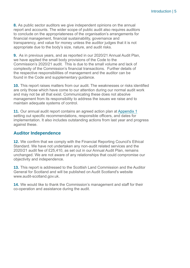Introduction | 5

**8.** As public sector auditors we give independent opinions on the annual report and accounts. The wider scope of public audit also requires auditors to conclude on the appropriateness of the organisation's arrangements for financial management, financial sustainability, governance and transparency, and value for money unless the auditor judges that it is not appropriate due to the body's size, nature, and audit risks.

**9.** As in previous years, and as reported in our 2020/21 Annual Audit Plan, we have applied the small body provisions of the Code to the Commission's 2020/21 audit. This is due to the small volume and lack of complexity of the Commission's financial transactions. Further details of the respective responsibilities of management and the auditor can be found in the Code and supplementary guidance.

**10.** This report raises matters from our audit. The weaknesses or risks identified are only those which have come to our attention during our normal audit work and may not be all that exist. Communicating these does not absolve management from its responsibility to address the issues we raise and to maintain adequate systems of control.

**11.** Our annual audit report contains an agreed action plan at [Appendix 1](#page-12-0) setting out specific recommendations, responsible officers, and dates for implementation. It also includes outstanding actions from last year and progress against these.

### **Auditor Independence**

**12.** We confirm that we comply with the Financial Reporting Council's Ethical Standard. We have not undertaken any non-audit related services and the 2020/21 audit fee of £25,410, as set out in our Annual Audit Plan, remains unchanged. We are not aware of any relationships that could compromise our objectivity and independence.

**13.** This report is addressed to the Scottish Land Commission and the Auditor General for Scotland and will be published on Audit Scotland's website [www.audit-scotland.gov.uk.](http://www.audit-scotland.gov.uk/)

**14.** We would like to thank the Commission's management and staff for their co-operation and assistance during the audit.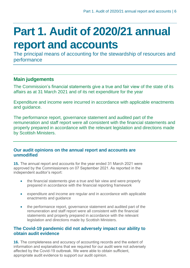# <span id="page-5-0"></span>**Part 1. Audit of 2020/21 annual report and accounts**

The principal means of accounting for the stewardship of resources and performance

### **Main judgements**

The Commission's financial statements give a true and fair view of the state of its affairs as at 31 March 2021 and of its net expenditure for the year

Expenditure and income were incurred in accordance with applicable enactments and guidance.

The performance report, governance statement and audited part of the remuneration and staff report were all consistent with the financial statements and properly prepared in accordance with the relevant legislation and directions made by Scottish Ministers.

### **Our audit opinions on the annual report and accounts are unmodified**

**15.** The annual report and accounts for the year ended 31 March 2021 were approved by the Commissioners on 07 September 2021. As reported in the independent auditor's report:

- the financial statements give a true and fair view and were properly prepared in accordance with the financial reporting framework
- expenditure and income are regular and in accordance with applicable enactments and guidance
- the performance report, governance statement and audited part of the remuneration and staff report were all consistent with the financial statements and properly prepared in accordance with the relevant legislation and directions made by Scottish Ministers.

### **The Covid-19 pandemic did not adversely impact our ability to obtain audit evidence**

**16.** The completeness and accuracy of accounting records and the extent of information and explanations that we required for our audit were not adversely affected by the Covid-19 outbreak. We were able to obtain sufficient, appropriate audit evidence to support our audit opinion.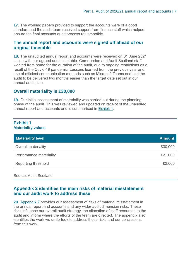**17.** The working papers provided to support the accounts were of a good standard and the audit team received support from finance staff which helped ensure the final accounts audit process ran smoothly.

### **The annual report and accounts were signed off ahead of our original timetable**

**18.** The unaudited annual report and accounts were received on 01 June 2021 in line with our agreed audit timetable. Commission and Audit Scotland staff worked from home for the duration of the audit, due to ongoing restrictions as a result of the Covid-19 pandemic. Lessons learned from the previous year and use of efficient communication methods such as Microsoft Teams enabled the audit to be delivered two months earlier than the target date set out in our annual audit plan.

### **Overall materiality is £30,000**

**19.** Our initial assessment of materiality was carried out during the planning phase of the audit. This was reviewed and updated on receipt of the unaudited annual report and accounts and is summarised in [Exhibit](#page-6-0) 1.

### <span id="page-6-0"></span>**Exhibit 1 Materiality values**

| <b>Amount</b> |
|---------------|
| £30,000       |
| £21,000       |
| £2,000        |
|               |

Source: Audit Scotland

### **[Appendix 2](#page-16-0) identifies the main risks of material misstatement and our audit work to address these**

**20.** [Appendix 2](#page-16-0) provides our assessment of risks of material misstatement in the annual report and accounts and any wider audit dimension risks. These risks influence our overall audit strategy, the allocation of staff resources to the audit and inform where the efforts of the team are directed. The appendix also identifies the work we undertook to address these risks and our conclusions from this work.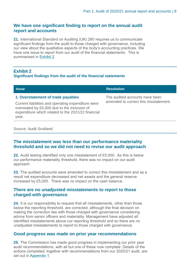### **We have one significant finding to report on the annual audit report and accounts**

**21.** International Standard on Auditing (UK) 260 requires us to communicate significant findings from the audit to those charged with governance, including our view about the qualitative aspects of the body's accounting practices. We have one issue to report from our audit of the financial statements. This is summarised in [Exhibit](#page-7-0) 2.

### <span id="page-7-0"></span>**Exhibit 2 Significant findings from the audit of the financial statements**

| <b>Issue</b>                                                                                                | <b>Resolution</b>                                                       |  |
|-------------------------------------------------------------------------------------------------------------|-------------------------------------------------------------------------|--|
| 1. Overstatement of trade payables<br>Current liabilities and operating expenditure were                    | The audited accounts have been<br>amended to correct this misstatement. |  |
| overstated by £5,000 due to the inclusion of<br>expenditure which related to the 2021/22 financial<br>year. |                                                                         |  |

### Source: Audit Scotland

### **The misstatement was less than our performance materiality threshold and so we did not need to revise our audit approach**

**22.** Audit testing identified only one misstatement of £5,000. As this is below our performance materiality threshold, there was no impact on our audit approach.

**23.** The audited accounts were amended to correct this misstatement and as a result net expenditure decreased and net assets and the general reserve increased by £5,000. There was no impact on the cash balance.

### **There are no unadjusted misstatements to report to those charged with governance**

**24.** It is our responsibility to request that all misstatements, other than those below the reporting threshold, are corrected, although the final decision on making the correction lies with those charged with governance considering advice from senior officers and materiality. Management have adjusted all identified misstatements above our reporting threshold and so there are no unadjusted misstatements to report to those charged with governance.

### **Good progress was made on prior year recommendations**

**25.** The Commission has made good progress in implementing our prior year audit recommendations, with all but one of these now complete. Details of the actions completed, together with recommendations from our 2020/21 audit, are set out in [Appendix 1.](#page-12-0)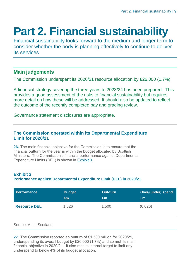# <span id="page-8-0"></span>**Part 2. Financial sustainability**

Financial sustainability looks forward to the medium and longer term to consider whether the body is planning effectively to continue to deliver its services

### **Main judgements**

The Commission underspent its 2020/21 resource allocation by £26,000 (1.7%).

A financial strategy covering the three years to 2023/24 has been prepared. This provides a good assessment of the risks to financial sustainability but requires more detail on how these will be addressed. It should also be updated to reflect the outcome of the recently completed pay and grading review.

Governance statement disclosures are appropriate.

### **The Commission operated within its Departmental Expenditure Limit for 2020/21**

**26.** The main financial objective for the Commission is to ensure that the financial outturn for the year is within the budget allocated by Scottish Ministers. The Commission's financial performance against Departmental Expenditure Limits (DEL) is shown in [Exhibit 3.](#page-8-1)

### **Exhibit 3 Performance against Departmental Expenditure Limit (DEL) in 2020/21**

| <b>Performance</b>  | <b>Budget</b> | <b>Out-turn</b> | <b>Over/(under) spend</b> |
|---------------------|---------------|-----------------|---------------------------|
|                     | Em            | Em              | £m                        |
| <b>Resource DEL</b> | 1.526         | 1.500           | (0.026)                   |

### Source: Audit Scotland

<span id="page-8-1"></span>**27.** The Commission reported an outturn of £1.500 million for 2020/21, underspending its overall budget by £26,000 (1.7%) and so met its main financial objective in 2020/21. It also met its internal target to limit any underspend to below 4% of its budget allocation.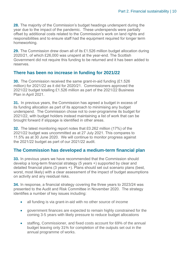**28.** The majority of the Commission's budget headings underspent during the year due to the impact of the pandemic. These underspends were partially offset by additional costs related to the Commission's work on land rights and responsibilities and to ensure staff had the equipment required for longer term homeworking.

**29.** The Commission drew down all of its £1.526 million budget allocation during 2020/21, of which £26,000 was unspent at the year-end. The Scottish Government did not require this funding to be returned and it has been added to reserves.

### **There has been no increase in funding for 2021/22**

**30.** The Commission received the same grant-in-aid funding (£1.526) million) for 2021/22 as it did for 2020/21. Commissioners approved the 2021/22 budget totalling £1.526 million as part of the 2021/22 Business Plan in April 2021.

**31.** In previous years, the Commission has agreed a budget in excess of its funding allocation as part of its approach to minimising any budget underspend. The Commission chose not to over-programme its budget for 2021/22, with budget holders instead maintaining a list of work that can be brought forward if slippage is identified in other areas.

**32.** The latest monitoring report notes that £0.262 million (17%) of the 2021/22 budget was uncommitted as at 27 July 2021. This compares to 11.5% as at 30 June 2020. We will continue to monitor progress against the 2021/22 budget as part of our 2021/22 audit.

### **The Commission has developed a medium-term financial plan**

<span id="page-9-0"></span>**33.** In previous years we have recommended that the Commission should develop a long-term financial strategy (5 years +) supported by clear and detailed financial plans (3 years +). Plans should set out scenario plans (best, worst, most likely) with a clear assessment of the impact of budget assumptions on activity and any residual risks.

**34.** In response, a financial strategy covering the three years to 2023/24 was presented to the Audit and Risk Committee in November 2020. The strategy identifies a number of key issues including:

- all funding is via grant-in-aid with no other source of income
- government finances are expected to remain highly constrained for the coming 3-5 years with likely pressure to reduce budget allocations
- staffing, Commissioner, and fixed costs account for 69% of the annual budget leaving only 31% for completion of the outputs set out in the annual programme of works.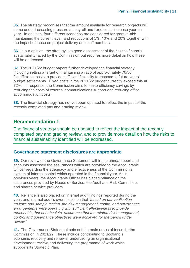**35.** The strategy recognises that the amount available for research projects will come under increasing pressure as payroll and fixed costs increase year on year. In addition, four different scenarios are considered for grant-in-aid: maintaining the current level, and reductions of 5%, 10% and 20% together with the impact of these on project delivery and staff numbers.

**36.** In our opinion, the strategy is a good assessment of the risks to financial sustainability faced by the Commission but requires more detail on how these will be addressed.

**37.** The 2021/22 budget papers further developed the financial strategy including setting a target of maintaining a ratio of approximately 70/30 fixed/flexible costs to provide sufficient flexibility to respond to future years' budget settlements. Fixed costs in the 2021/22 budget currently exceed this at 72%. In response, the Commission aims to make efficiency savings by reducing the costs of external communications support and reducing office accommodation costs.

**38.** The financial strategy has not yet been updated to reflect the impact of the recently completed pay and grading review.

### **Recommendation 1**

The financial strategy should be updated to reflect the impact of the recently completed pay and grading review, and to provide more detail on how the risks to financial sustainability identified will be addressed.

### **Governance statement disclosures are appropriate**

**39.** Our review of the Governance Statement within the annual report and accounts assessed the assurances which are provided to the Accountable Officer regarding the adequacy and effectiveness of the Commission's system of internal control which operated in the financial year. As in previous years, the Accountable Officer has placed reliance on the assurances provided by Heads of Service, the Audit and Risk Committee, and shared service providers.

**40.** Reliance is also placed on internal audit findings reported during the year, and internal audit's overall opinion that *'based on our verification reviews and sample testing, the risk management, control and governance arrangements were operating with sufficient effectiveness to provide reasonable, but not absolute, assurance that the related risk management, control and governance objectives were achieved for the period under review.'*

**41.** The Governance Statement sets out the main areas of focus for the Commission in 2021/22. These include contributing to Scotland's economic recovery and renewal, undertaking an organisational development review, and delivering the programme of work which supports its Strategic Plan.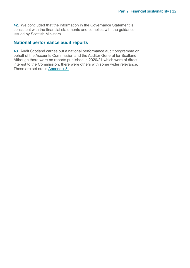**42.** We concluded that the information in the Governance Statement is consistent with the financial statements and complies with the guidance issued by Scottish Ministers.

### **National performance audit reports**

**43.** Audit Scotland carries out a national performance audit programme on behalf of the Accounts Commission and the Auditor General for Scotland. Although there were no reports published in 2020/21 which were of direct interest to the Commission, there were others with some wider relevance. These are set out in [Appendix 3.](#page-18-0)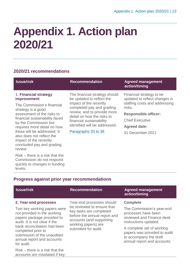# <span id="page-12-0"></span>**Appendix 1. Action plan 2020/21**

### **2020/21 recommendations**

<span id="page-12-1"></span>

| <b>Issue/risk</b>                                        | <b>Recommendation</b>                                                                                                                                                                                                            | <b>Agreed management</b><br>action/timing                 |
|----------------------------------------------------------|----------------------------------------------------------------------------------------------------------------------------------------------------------------------------------------------------------------------------------|-----------------------------------------------------------|
| 1. Financial strategy<br><b>improvement</b>              | The financial strategy should<br>be updated to reflect the<br>impact of the recently<br>completed pay and grading<br>strategy is a good<br>review, and to provide more<br>detail on how the risks to<br>financial sustainability | Financial strategy to be<br>updated to reflect changes in |
| The Commission's financial                               |                                                                                                                                                                                                                                  | staffing costs and addressing<br>risks.                   |
| assessment of the risks to                               |                                                                                                                                                                                                                                  | <b>Responsible officer:</b>                               |
| financial sustainability faced<br>by the Commission but  |                                                                                                                                                                                                                                  | <b>Chief Executive</b>                                    |
| requires more detail on how                              | identified will be addressed.                                                                                                                                                                                                    | <b>Agreed date:</b>                                       |
| these will be addressed. It<br>also does not reflect the | Paragraphs 33 to 38                                                                                                                                                                                                              | 31 December 2021                                          |
| impact of the recently                                   |                                                                                                                                                                                                                                  |                                                           |
| concluded pay and grading                                |                                                                                                                                                                                                                                  |                                                           |

Risk – there is a risk that the Commission do not respond quickly to changes in funding levels.

accounts are misstated if key

review.

### **Progress against prior year recommendations**

| <b>Issue/risk</b>                                                                                                                                                                                                                                                                   | <b>Recommendation</b>                                                                                                                                                                         | <b>Agreed management</b><br>action/timing                                                                                                                                                                                                       |
|-------------------------------------------------------------------------------------------------------------------------------------------------------------------------------------------------------------------------------------------------------------------------------------|-----------------------------------------------------------------------------------------------------------------------------------------------------------------------------------------------|-------------------------------------------------------------------------------------------------------------------------------------------------------------------------------------------------------------------------------------------------|
| 2. Year-end processes<br>Two key working papers were<br>not provided in the working<br>papers package provided to<br>audit. It is not clear if the<br>bank reconciliation had been<br>completed prior to<br>submission of the unaudited<br>annual report and accounts<br>for audit. | Year-end processes should<br>be reviewed to ensure that<br>key tasks are completed<br>before the annual report and<br>accounts (and supporting<br>working papers) are<br>submitted for audit. | <b>Complete</b><br>The Commission's year-end<br>processes have been<br>reviewed and Finance desk<br>instructions updated.<br>A complete set of working<br>papers was provided to audit<br>to accompany the draft<br>annual report and accounts. |
| $Risk$ – there is a risk that the                                                                                                                                                                                                                                                   |                                                                                                                                                                                               |                                                                                                                                                                                                                                                 |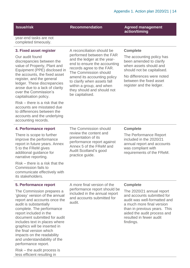### **Issue/risk Recommendation Agreed management**

year-end tasks are not completed timeously.

### **3. Fixed asset register**

Our audit found discrepancies between the value of Property, Plant and Equipment (PPE) disclosed in the accounts, the fixed asset register, and the general ledger. These discrepancies arose due to a lack of clarity over the Commission's capitalisation policy.

Risk – there is a risk that the accounts are misstated due to differences between the accounts and the underlying accounting records.

A reconciliation should be performed between the FAR and the ledger at the yearend to ensure the accounting records agree to the FAR. The Commission should amend its accounting policy to clarify when assets fall within a group, and when they should and should not be capitalised.

### **Complete**

**action/timing**

The accounting policy has been amended to clarify when assets should and should not be capitalised.

No differences were noted between the fixed asset register and the ledger.

### **4. Performance report**

There is scope to further improve the performance report in future years. Annex 5 to the FReM gives additional guidance for narrative reporting.

Risk – there is a risk that the Commission fails to communicate effectively with its stakeholders.

The Commission should review the content and presentation of its performance report against Annex 5 of the FReM and Audit Scotland's good practice guide.

### **Complete**

The Performance Report included in the 2020/21 annual report and accounts was compliant with requirements of the FReM.

#### **5. Performance report**

The Commission prepares a 'glossy' version of the annual report and accounts once the audit is substantially complete. The performance report included in the document submitted for audit includes text in places where graphics will be inserted in the final version which impacts on the readability and understandability of the performance report.

Risk – the audit process is less efficient resulting in

A more final version of the performance report should be included in the annual report and accounts submitted for audit.

#### **Complete**

The 2020/21 annual report and accounts submitted for audit was well-formatted and a much more final version than in previous years. This aided the audit process and resulted in fewer audit findings.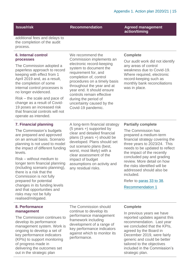**Issue/risk Recommendation Agreed management action/timing**

additional fees and delays to the completion of the audit process.

### **6. Internal control processes**

The Commission adopted a paperless approach to record keeping with effect from 1 April 2019 and, as a result, the completion of some internal control processes is no longer evidenced.

Risk – the scale and pace of change as a result of Covid-19 poses an increased risk that financial controls will not operate as intended.

We recommend the Commission implements an electronic record-keeping system to document the requirement for, and completion of, control procedures on a timely basis throughout the year and at year end. It should ensure controls remain effective during the period of uncertainty caused by the Covid-19 pandemic.

### **Complete**

Our audit work did not identify any areas of control weakness due to Covid-19. Where required, electronic record-keeping such as monthly bank reconciliations was in place.

### **7. Financial planning**

The Commission's budgets are prepared and approved on an annual basis. Scenario planning is not used to model the impact of different funding levels.

Risk – without medium to longer term financial planning (including scenario planning), there is a risk that the Commission is not fully prepared for potential changes in its funding levels and that opportunities and risks may not be fully realised/mitigated.

A long-term financial strategy (5 years +) supported by clear and detailed financial plans (3 years +) should be developed. Plans should set out scenario plans (best, worst, most likely) with a clear assessment of the impact of budget assumptions on activity and any residual risks.

### **Partially complete**

The Commission has prepared a medium-term financial strategy covering the three years to 2023/24. This needs to be updated to reflect the impact of the recently concluded pay and grading review. More detail on how the risks identified will be addressed should also be included.

Refer to [paras 33](#page-9-0) to 38.

[Recommendation 1](#page-12-1)

### **8. Performance management**

The Commission continues to develop its performance management system. Work is ongoing to develop a set of key performance indicators (KPIs) to support monitoring of progress made in delivering the outcomes set out in the strategic plan

The Commission should continue to develop its performance management framework including development of a range of key performance indicators against which to monitor its performance.

### **Complete**

In previous years we have reported updates against this recommendation. Last year we concluded that the KPIs, agreed by the Board in December 2019, were fairly generic and could be better tailored to the objectives included in the Commission's strategic plan.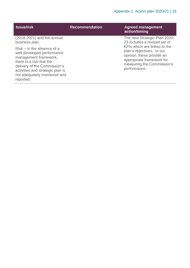| <b>Issue/risk</b>                                                                                                                                                                                                                | <b>Recommendation</b> | <b>Agreed management</b><br>action/timing                                                                                         |
|----------------------------------------------------------------------------------------------------------------------------------------------------------------------------------------------------------------------------------|-----------------------|-----------------------------------------------------------------------------------------------------------------------------------|
| $(2018-2021)$ and the annual<br>business plan.                                                                                                                                                                                   |                       | The new Strategic Plan 2020-<br>23 includes a revised set of<br>KPIs which are linked to the                                      |
| $Risk - in$ the absence of a<br>well-developed performance<br>management framework,<br>there is a risk that the<br>delivery of the Commission's<br>activities and strategic plan is<br>not adequately monitored and<br>reported. |                       | plan's objectives. In our<br>opinion, these provide an<br>appropriate framework for<br>measuring the Commission's<br>performance. |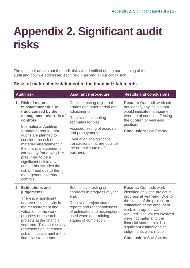# <span id="page-16-0"></span>**Appendix 2. Significant audit risks**

The table below sets out the audit risks we identified during our planning of the audit and how we addressed each risk in arriving at our conclusion.

### **Risks of material misstatement in the financial statements**

| <b>Audit risk</b>                                                                                                                                                                                                                                       | <b>Assurance procedure</b>                                                                      | <b>Results and conclusions</b>                                                                  |
|---------------------------------------------------------------------------------------------------------------------------------------------------------------------------------------------------------------------------------------------------------|-------------------------------------------------------------------------------------------------|-------------------------------------------------------------------------------------------------|
| 1. Risk of material<br>misstatement due to<br>fraud caused by the                                                                                                                                                                                       | Detailed testing of journal<br>entries and other period end<br>adjustments.                     | <b>Results:</b> Our audit work did<br>not identify any issues that<br>would indicate management |
| management override of<br>controls                                                                                                                                                                                                                      | Review of accounting<br>estimates for bias.                                                     | override of controls affecting<br>the out-turn or year-end<br>position.                         |
| International Auditing<br>Standards require that<br>audits are planned to                                                                                                                                                                               | Focused testing of accruals<br>and prepayments.                                                 | <b>Conclusion: Satisfactory</b>                                                                 |
| consider the risk of<br>material misstatement in<br>the financial statements<br>caused by fraud, which is<br>presumed to be a<br>significant risk in any<br>audit. This includes the<br>risk of fraud due to the<br>management override of<br>controls. | Evaluation of significant<br>transactions that are outside<br>the normal course of<br>business. |                                                                                                 |

### **2. Estimations and judgements**

There is a significant degree of subjectivity in the measurement and valuation of the work-inprogress of research projects at the financial year-end. This subjectivity represents an increased risk of misstatement in the financial statements.

Substantive testing of contracts in progress at year end.

Review of project status reports and reasonableness of estimates and assumptions used when determining stages of completion.

**Results:** Our audit work identified only one project in progress at year-end. Due to the status of the project, no estimation of the amount of work-in-progress was required. The values involved were not material to the financial statements. No significant estimations or judgements were made.

**Conclusion:** Satisfactory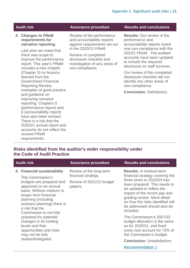### **3. Changes to FReM requirements for narrative reporting**

Last year we noted that there was scope to improve the performance report. This year's FReM includes a new chapter (Chapter 3) on lessons learned from the Government Financial Reporting Review, examples of good practice and guidance on improving narrative reporting. Chapters 5 (performance report) and 6 (accountability report) have also been revised. There is a risk that the 2020/21 annual report and accounts do not reflect the revised FReM requirements.

Review of the performance and accountability reports against requirements set out in the 2020/21 FReM.

Review of completed disclosure checklist and investigation of any areas of non-compliance.

### **Audit risk Assurance procedure Results and conclusions**

**Results:** Our review of the performance and accountability reports noted one non-compliance with the 202/21 FReM. The audited accounts have been updated to include the required disclosure on staff turnover.

Our review of the completed disclosure checklist did not identify any other areas of non-compliance.

**Conclusion:** Satisfactory

### **Risks identified from the auditor's wider responsibility under the Code of Audit Practice**

| <b>Audit risk</b>                                                                                                                                                                                                                                                                                                                                                                                          | <b>Assurance procedure</b>                                                            | <b>Results and conclusions</b>                                                                                                                                                                                                                                                                                                                                                                                                                                                                                                   |
|------------------------------------------------------------------------------------------------------------------------------------------------------------------------------------------------------------------------------------------------------------------------------------------------------------------------------------------------------------------------------------------------------------|---------------------------------------------------------------------------------------|----------------------------------------------------------------------------------------------------------------------------------------------------------------------------------------------------------------------------------------------------------------------------------------------------------------------------------------------------------------------------------------------------------------------------------------------------------------------------------------------------------------------------------|
| 4. Financial sustainability<br>The Commission's<br>budgets are prepared and<br>approved on an annual<br>basis. Without medium to<br>longer term financial<br>planning (including<br>scenario planning) there is<br>a risk that the<br>Commission is not fully<br>prepared for potential<br>changes in its funding<br>levels and that<br>opportunities and risks<br>may not be fully<br>realised/mitigated. | Review of the long-term<br>financial strategy.<br>Review of 2021/22 budget<br>papers. | <b>Results:</b> A medium-term<br>financial strategy covering the<br>three years to 2023/24 has<br>been prepared. This needs to<br>be updated to reflect the<br>impact of the recent pay and<br>grading review. More detail<br>on how the risks identified will<br>be addressed should also be<br>included.<br>The Commission's 2021/22<br>budget allocation is the same<br>as for 2020/21, and fixed<br>costs now account for 72% of<br>the Commission's budget.<br><b>Conclusion: Unsatisfactory</b><br><b>Recommendation 1</b> |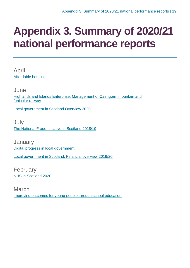## <span id="page-18-0"></span>**Appendix 3. Summary of 2020/21 national performance reports**

April [Affordable housing](https://www.audit-scotland.gov.uk/report/affordable-housing)

June [Highlands and Islands Enterprise: Management of Cairngorm mountain and](https://www.audit-scotland.gov.uk/report/highlands-and-islands-enterprise-management-of-cairngorm-mountain-and-funicular-railway)  [funicular railway](https://www.audit-scotland.gov.uk/report/highlands-and-islands-enterprise-management-of-cairngorm-mountain-and-funicular-railway)

[Local government in Scotland Overview 2020](https://www.audit-scotland.gov.uk/report/local-government-in-scotland-overview-2020)

July [The National Fraud Initiative in Scotland 2018/19](https://www.audit-scotland.gov.uk/report/the-national-fraud-initiative-in-scotland-201819)

**January** [Digital progress in local government](https://www.audit-scotland.gov.uk/report/digital-progress-in-local-government) [Local government in Scotland: Financial overview 2019/20](https://www.audit-scotland.gov.uk/report/local-government-in-scotland-financial-overview-201920)

February [NHS in Scotland 2020](https://www.audit-scotland.gov.uk/report/nhs-in-scotland-2020)

March [Improving outcomes for young people through school education](https://www.audit-scotland.gov.uk/report/improving-outcomes-for-young-people-through-school-education)